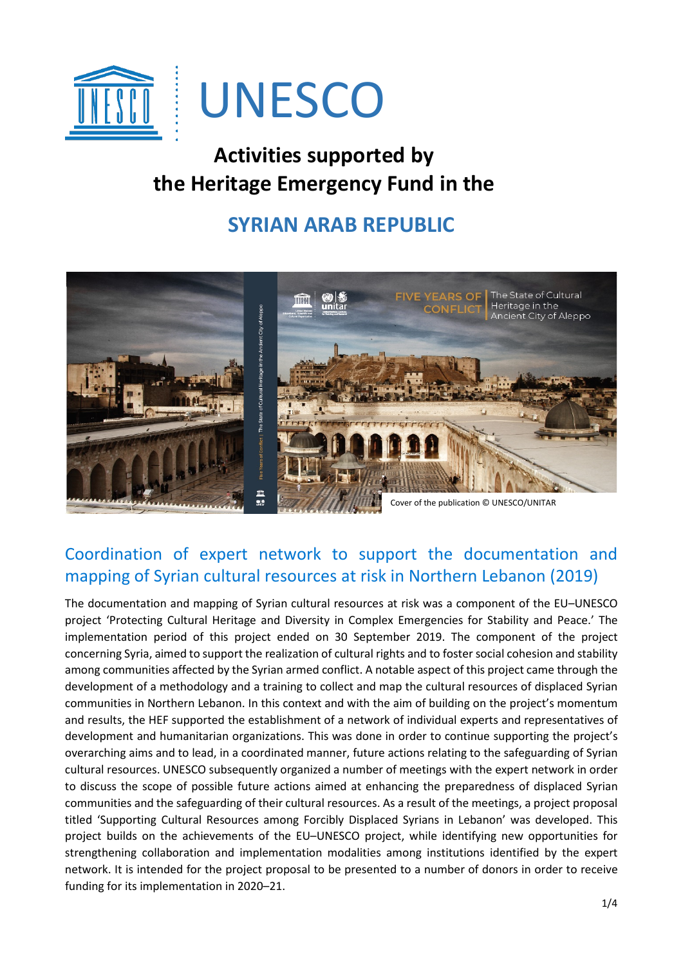

# **Activities supported by the Heritage Emergency Fund in the**

## **SYRIAN ARAB REPUBLIC**



## Coordination of expert network to support the documentation and mapping of Syrian cultural resources at risk in Northern Lebanon (2019)

The documentation and mapping of Syrian cultural resources at risk was a component of the EU–UNESCO project 'Protecting Cultural Heritage and Diversity in Complex Emergencies for Stability and Peace.' The implementation period of this project ended on 30 September 2019. The component of the project concerning Syria, aimed to support the realization of cultural rights and to foster social cohesion and stability among communities affected by the Syrian armed conflict. A notable aspect of this project came through the development of a methodology and a training to collect and map the cultural resources of displaced Syrian communities in Northern Lebanon. In this context and with the aim of building on the project's momentum and results, the HEF supported the establishment of a network of individual experts and representatives of development and humanitarian organizations. This was done in order to continue supporting the project's overarching aims and to lead, in a coordinated manner, future actions relating to the safeguarding of Syrian cultural resources. UNESCO subsequently organized a number of meetings with the expert network in order to discuss the scope of possible future actions aimed at enhancing the preparedness of displaced Syrian communities and the safeguarding of their cultural resources. As a result of the meetings, a project proposal titled 'Supporting Cultural Resources among Forcibly Displaced Syrians in Lebanon' was developed. This project builds on the achievements of the EU–UNESCO project, while identifying new opportunities for strengthening collaboration and implementation modalities among institutions identified by the expert network. It is intended for the project proposal to be presented to a number of donors in order to receive funding for its implementation in 2020–21.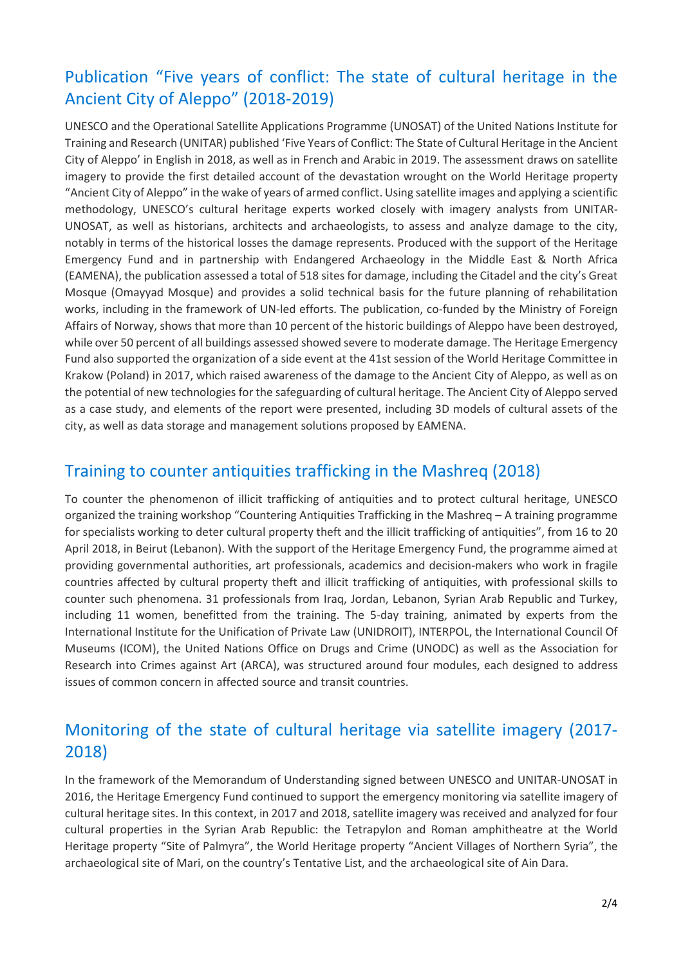## Publication "Five years of conflict: The state of cultural heritage in the Ancient City of Aleppo" (2018-2019)

UNESCO and the Operational Satellite Applications Programme (UNOSAT) of the United Nations Institute for Training and Research (UNITAR) published 'Five Years of Conflict: The State of Cultural Heritage in the Ancient City of Aleppo' in English in 2018, as well as in French and Arabic in 2019. The assessment draws on satellite imagery to provide the first detailed account of the devastation wrought on the World Heritage property "Ancient City of Aleppo" in the wake of years of armed conflict. Using satellite images and applying a scientific methodology, UNESCO's cultural heritage experts worked closely with imagery analysts from UNITAR-UNOSAT, as well as historians, architects and archaeologists, to assess and analyze damage to the city, notably in terms of the historical losses the damage represents. Produced with the support of the Heritage Emergency Fund and in partnership with Endangered Archaeology in the Middle East & North Africa (EAMENA), the publication assessed a total of 518 sites for damage, including the Citadel and the city's Great Mosque (Omayyad Mosque) and provides a solid technical basis for the future planning of rehabilitation works, including in the framework of UN-led efforts. The publication, co-funded by the Ministry of Foreign Affairs of Norway, shows that more than 10 percent of the historic buildings of Aleppo have been destroyed, while over 50 percent of all buildings assessed showed severe to moderate damage. The Heritage Emergency Fund also supported the organization of a side event at the 41st session of the World Heritage Committee in Krakow (Poland) in 2017, which raised awareness of the damage to the Ancient City of Aleppo, as well as on the potential of new technologies for the safeguarding of cultural heritage. The Ancient City of Aleppo served as a case study, and elements of the report were presented, including 3D models of cultural assets of the city, as well as data storage and management solutions proposed by EAMENA.

#### Training to counter antiquities trafficking in the Mashreq (2018)

To counter the phenomenon of illicit trafficking of antiquities and to protect cultural heritage, UNESCO organized the training workshop "Countering Antiquities Trafficking in the Mashreq – A training programme for specialists working to deter cultural property theft and the illicit trafficking of antiquities", from 16 to 20 April 2018, in Beirut (Lebanon). With the support of the Heritage Emergency Fund, the programme aimed at providing governmental authorities, art professionals, academics and decision-makers who work in fragile countries affected by cultural property theft and illicit trafficking of antiquities, with professional skills to counter such phenomena. 31 professionals from Iraq, Jordan, Lebanon, Syrian Arab Republic and Turkey, including 11 women, benefitted from the training. The 5-day training, animated by experts from the International Institute for the Unification of Private Law (UNIDROIT), INTERPOL, the International Council Of Museums (ICOM), the United Nations Office on Drugs and Crime (UNODC) as well as the Association for Research into Crimes against Art (ARCA), was structured around four modules, each designed to address issues of common concern in affected source and transit countries.

#### Monitoring of the state of cultural heritage via satellite imagery (2017- 2018)

In the framework of the Memorandum of Understanding signed between UNESCO and UNITAR-UNOSAT in 2016, the Heritage Emergency Fund continued to support the emergency monitoring via satellite imagery of cultural heritage sites. In this context, in 2017 and 2018, satellite imagery was received and analyzed for four cultural properties in the Syrian Arab Republic: the Tetrapylon and Roman amphitheatre at the World Heritage property "Site of Palmyra", the World Heritage property "Ancient Villages of Northern Syria", the archaeological site of Mari, on the country's Tentative List, and the archaeological site of Ain Dara.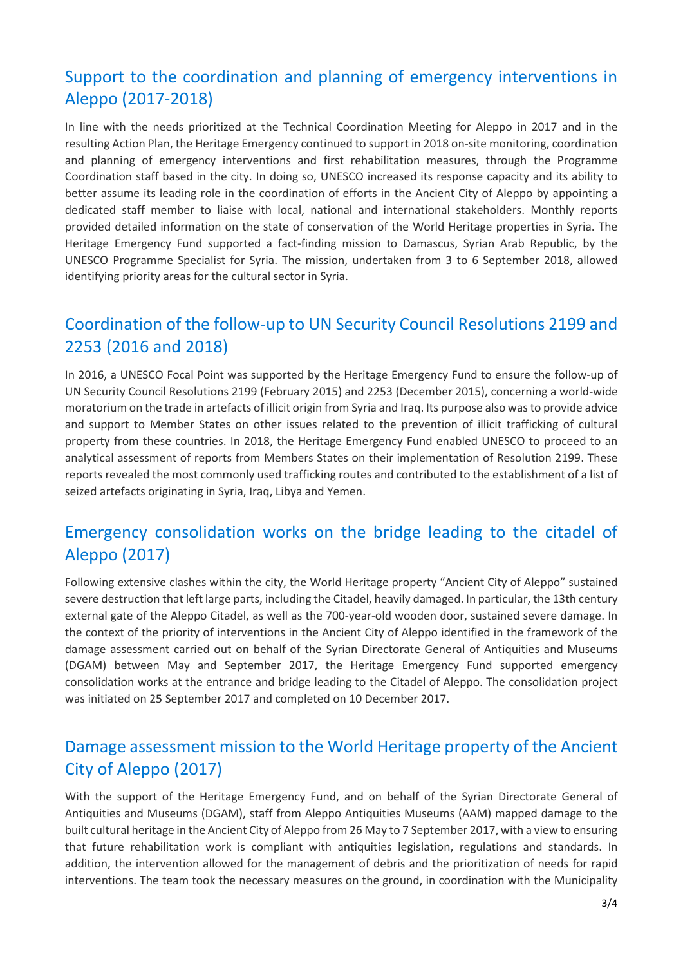## Support to the coordination and planning of emergency interventions in Aleppo (2017-2018)

In line with the needs prioritized at the Technical Coordination Meeting for Aleppo in 2017 and in the resulting Action Plan, the Heritage Emergency continued to support in 2018 on-site monitoring, coordination and planning of emergency interventions and first rehabilitation measures, through the Programme Coordination staff based in the city. In doing so, UNESCO increased its response capacity and its ability to better assume its leading role in the coordination of efforts in the Ancient City of Aleppo by appointing a dedicated staff member to liaise with local, national and international stakeholders. Monthly reports provided detailed information on the state of conservation of the World Heritage properties in Syria. The Heritage Emergency Fund supported a fact-finding mission to Damascus, Syrian Arab Republic, by the UNESCO Programme Specialist for Syria. The mission, undertaken from 3 to 6 September 2018, allowed identifying priority areas for the cultural sector in Syria.

#### Coordination of the follow-up to UN Security Council Resolutions 2199 and 2253 (2016 and 2018)

In 2016, a UNESCO Focal Point was supported by the Heritage Emergency Fund to ensure the follow-up of UN Security Council Resolutions 2199 (February 2015) and 2253 (December 2015), concerning a world-wide moratorium on the trade in artefacts of illicit origin from Syria and Iraq. Its purpose also was to provide advice and support to Member States on other issues related to the prevention of illicit trafficking of cultural property from these countries. In 2018, the Heritage Emergency Fund enabled UNESCO to proceed to an analytical assessment of reports from Members States on their implementation of Resolution 2199. These reports revealed the most commonly used trafficking routes and contributed to the establishment of a list of seized artefacts originating in Syria, Iraq, Libya and Yemen.

#### Emergency consolidation works on the bridge leading to the citadel of Aleppo (2017)

Following extensive clashes within the city, the World Heritage property "Ancient City of Aleppo" sustained severe destruction that left large parts, including the Citadel, heavily damaged. In particular, the 13th century external gate of the Aleppo Citadel, as well as the 700-year-old wooden door, sustained severe damage. In the context of the priority of interventions in the Ancient City of Aleppo identified in the framework of the damage assessment carried out on behalf of the Syrian Directorate General of Antiquities and Museums (DGAM) between May and September 2017, the Heritage Emergency Fund supported emergency consolidation works at the entrance and bridge leading to the Citadel of Aleppo. The consolidation project was initiated on 25 September 2017 and completed on 10 December 2017.

#### Damage assessment mission to the World Heritage property of the Ancient City of Aleppo (2017)

With the support of the Heritage Emergency Fund, and on behalf of the Syrian Directorate General of Antiquities and Museums (DGAM), staff from Aleppo Antiquities Museums (AAM) mapped damage to the built cultural heritage in the Ancient City of Aleppo from 26 May to 7 September 2017, with a view to ensuring that future rehabilitation work is compliant with antiquities legislation, regulations and standards. In addition, the intervention allowed for the management of debris and the prioritization of needs for rapid interventions. The team took the necessary measures on the ground, in coordination with the Municipality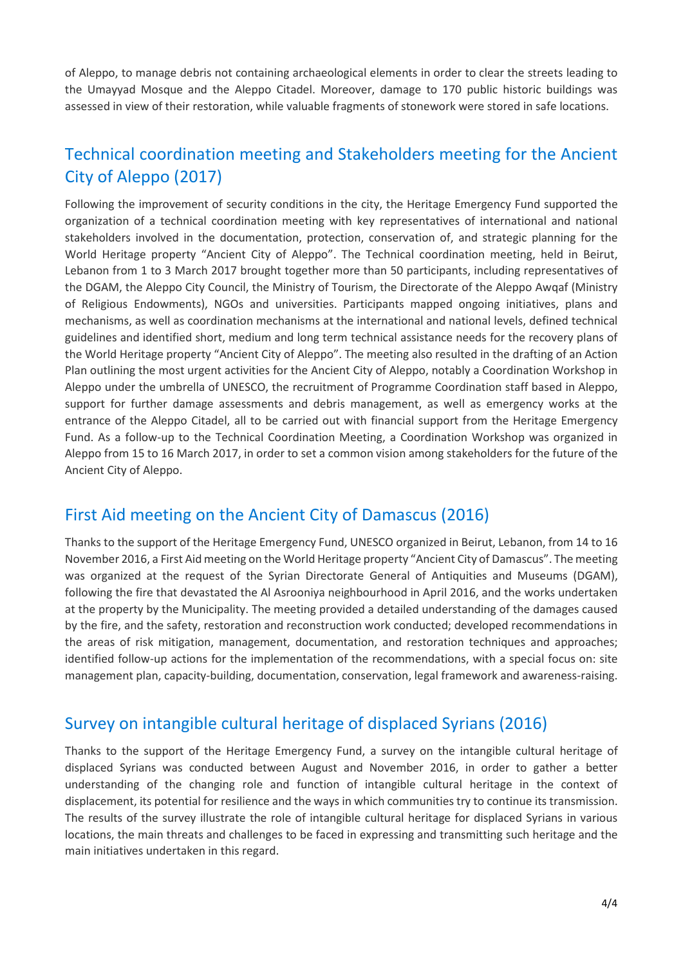of Aleppo, to manage debris not containing archaeological elements in order to clear the streets leading to the Umayyad Mosque and the Aleppo Citadel. Moreover, damage to 170 public historic buildings was assessed in view of their restoration, while valuable fragments of stonework were stored in safe locations.

## Technical coordination meeting and Stakeholders meeting for the Ancient City of Aleppo (2017)

Following the improvement of security conditions in the city, the Heritage Emergency Fund supported the organization of a technical coordination meeting with key representatives of international and national stakeholders involved in the documentation, protection, conservation of, and strategic planning for the World Heritage property "Ancient City of Aleppo". The Technical coordination meeting, held in Beirut, Lebanon from 1 to 3 March 2017 brought together more than 50 participants, including representatives of the DGAM, the Aleppo City Council, the Ministry of Tourism, the Directorate of the Aleppo Awqaf (Ministry of Religious Endowments), NGOs and universities. Participants mapped ongoing initiatives, plans and mechanisms, as well as coordination mechanisms at the international and national levels, defined technical guidelines and identified short, medium and long term technical assistance needs for the recovery plans of the World Heritage property "Ancient City of Aleppo". The meeting also resulted in the drafting of an Action Plan outlining the most urgent activities for the Ancient City of Aleppo, notably a Coordination Workshop in Aleppo under the umbrella of UNESCO, the recruitment of Programme Coordination staff based in Aleppo, support for further damage assessments and debris management, as well as emergency works at the entrance of the Aleppo Citadel, all to be carried out with financial support from the Heritage Emergency Fund. As a follow-up to the Technical Coordination Meeting, a Coordination Workshop was organized in Aleppo from 15 to 16 March 2017, in order to set a common vision among stakeholders for the future of the Ancient City of Aleppo.

## First Aid meeting on the Ancient City of Damascus (2016)

Thanks to the support of the Heritage Emergency Fund, UNESCO organized in Beirut, Lebanon, from 14 to 16 November 2016, a First Aid meeting on the World Heritage property "Ancient City of Damascus". The meeting was organized at the request of the Syrian Directorate General of Antiquities and Museums (DGAM), following the fire that devastated the Al Asrooniya neighbourhood in April 2016, and the works undertaken at the property by the Municipality. The meeting provided a detailed understanding of the damages caused by the fire, and the safety, restoration and reconstruction work conducted; developed recommendations in the areas of risk mitigation, management, documentation, and restoration techniques and approaches; identified follow-up actions for the implementation of the recommendations, with a special focus on: site management plan, capacity-building, documentation, conservation, legal framework and awareness-raising.

#### Survey on intangible cultural heritage of displaced Syrians (2016)

Thanks to the support of the Heritage Emergency Fund, a survey on the intangible cultural heritage of displaced Syrians was conducted between August and November 2016, in order to gather a better understanding of the changing role and function of intangible cultural heritage in the context of displacement, its potential for resilience and the ways in which communities try to continue its transmission. The results of the survey illustrate the role of intangible cultural heritage for displaced Syrians in various locations, the main threats and challenges to be faced in expressing and transmitting such heritage and the main initiatives undertaken in this regard.